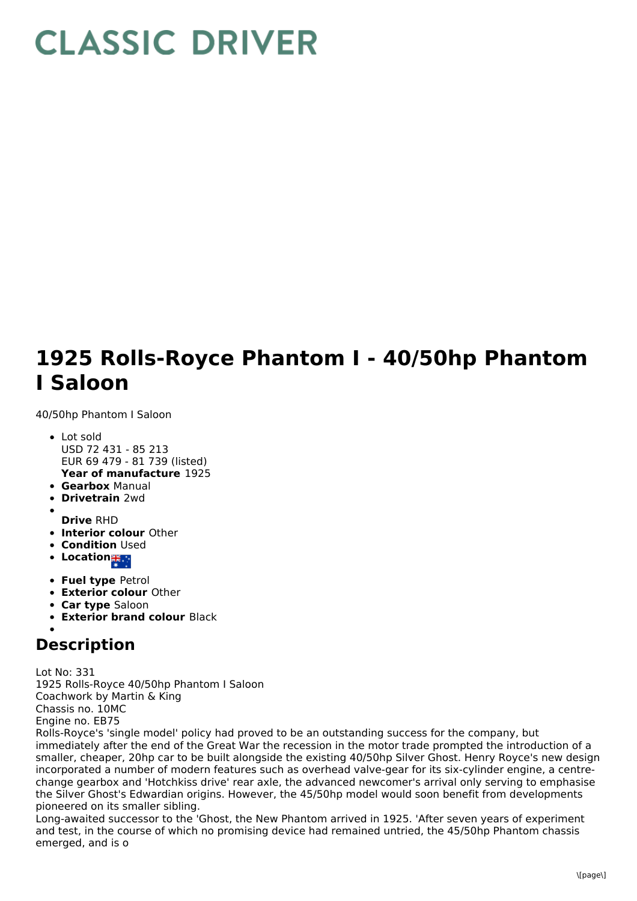## **CLASSIC DRIVER**

## **1925 Rolls-Royce Phantom I - 40/50hp Phantom I Saloon**

40/50hp Phantom I Saloon

- **Year of manufacture** 1925 • Lot sold USD 72 431 - 85 213 EUR 69 479 - 81 739 (listed)
- **Gearbox** Manual
- **Drivetrain** 2wd
- **Drive** RHD
- **Interior colour** Other
- **Condition Used**
- **Location 35 a**
- **Fuel type** Petrol
- **Exterior colour** Other
- **Car type** Saloon
- **Exterior brand colour** Black

## **Description**

Lot No: 331 1925 Rolls-Royce 40/50hp Phantom I Saloon Coachwork by Martin & King Chassis no. 10MC Engine no. EB75

Rolls-Royce's 'single model' policy had proved to be an outstanding success for the company, but immediately after the end of the Great War the recession in the motor trade prompted the introduction of a smaller, cheaper, 20hp car to be built alongside the existing 40/50hp Silver Ghost. Henry Royce's new design incorporated a number of modern features such as overhead valve-gear for its six-cylinder engine, a centrechange gearbox and 'Hotchkiss drive' rear axle, the advanced newcomer's arrival only serving to emphasise the Silver Ghost's Edwardian origins. However, the 45/50hp model would soon benefit from developments pioneered on its smaller sibling.

Long-awaited successor to the 'Ghost, the New Phantom arrived in 1925. 'After seven years of experiment and test, in the course of which no promising device had remained untried, the 45/50hp Phantom chassis emerged, and is o